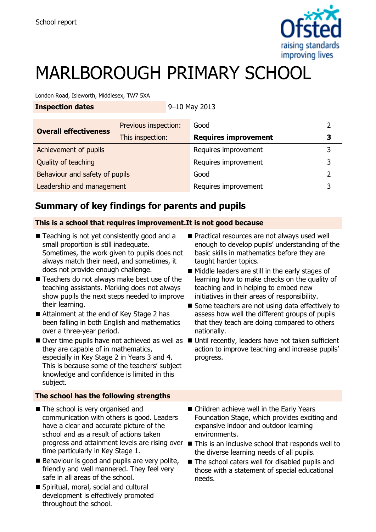

# MARLBOROUGH PRIMARY SCHOOL

London Road, Isleworth, Middlesex, TW7 5XA

|  | <b>Inspection dates</b> |
|--|-------------------------|
|  |                         |

**Inspection dates** 9–10 May 2013

| <b>Overall effectiveness</b>   | Previous inspection: | Good                        |   |
|--------------------------------|----------------------|-----------------------------|---|
|                                | This inspection:     | <b>Requires improvement</b> | 3 |
| Achievement of pupils          |                      | Requires improvement        | 3 |
| Quality of teaching            |                      | Requires improvement        | 3 |
| Behaviour and safety of pupils |                      | Good                        | າ |
| Leadership and management      |                      | Requires improvement        |   |

# **Summary of key findings for parents and pupils**

### **This is a school that requires improvement.It is not good because**

- Teaching is not yet consistently good and a small proportion is still inadequate. Sometimes, the work given to pupils does not always match their need, and sometimes, it does not provide enough challenge.
- Teachers do not always make best use of the teaching assistants. Marking does not always show pupils the next steps needed to improve their learning.
- Attainment at the end of Key Stage 2 has been falling in both English and mathematics over a three-year period.
- they are capable of in mathematics, especially in Key Stage 2 in Years 3 and 4. This is because some of the teachers' subject knowledge and confidence is limited in this subject.

### **The school has the following strengths**

- The school is very organised and communication with others is good. Leaders have a clear and accurate picture of the school and as a result of actions taken time particularly in Key Stage 1.
- $\blacksquare$  Behaviour is good and pupils are very polite, friendly and well mannered. They feel very safe in all areas of the school.
- Spiritual, moral, social and cultural development is effectively promoted throughout the school.
- Practical resources are not always used well enough to develop pupils' understanding of the basic skills in mathematics before they are taught harder topics.
- Middle leaders are still in the early stages of learning how to make checks on the quality of teaching and in helping to embed new initiatives in their areas of responsibility.
- Some teachers are not using data effectively to assess how well the different groups of pupils that they teach are doing compared to others nationally.
- $\blacksquare$  Over time pupils have not achieved as well as  $\blacksquare$  Until recently, leaders have not taken sufficient action to improve teaching and increase pupils' progress.
	- Children achieve well in the Early Years Foundation Stage, which provides exciting and expansive indoor and outdoor learning environments.
	- progress and attainment levels are rising over This is an inclusive school that responds well to the diverse learning needs of all pupils.
		- The school caters well for disabled pupils and those with a statement of special educational needs.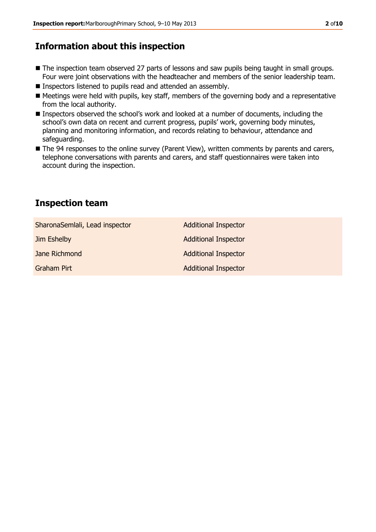# **Information about this inspection**

- The inspection team observed 27 parts of lessons and saw pupils being taught in small groups. Four were joint observations with the headteacher and members of the senior leadership team.
- **Inspectors listened to pupils read and attended an assembly.**
- Meetings were held with pupils, key staff, members of the governing body and a representative from the local authority.
- Inspectors observed the school's work and looked at a number of documents, including the school's own data on recent and current progress, pupils' work, governing body minutes, planning and monitoring information, and records relating to behaviour, attendance and safeguarding.
- The 94 responses to the online survey (Parent View), written comments by parents and carers, telephone conversations with parents and carers, and staff questionnaires were taken into account during the inspection.

# **Inspection team**

| SharonaSemlali, Lead inspector | <b>Additional Inspector</b> |
|--------------------------------|-----------------------------|
| Jim Eshelby                    | <b>Additional Inspector</b> |
| Jane Richmond                  | <b>Additional Inspector</b> |
| <b>Graham Pirt</b>             | <b>Additional Inspector</b> |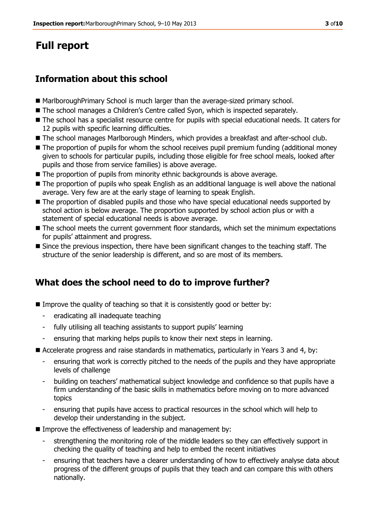# **Full report**

# **Information about this school**

- MarlboroughPrimary School is much larger than the average-sized primary school.
- The school manages a Children's Centre called Syon, which is inspected separately.
- The school has a specialist resource centre for pupils with special educational needs. It caters for 12 pupils with specific learning difficulties.
- The school manages Marlborough Minders, which provides a breakfast and after-school club.
- The proportion of pupils for whom the school receives pupil premium funding (additional money given to schools for particular pupils, including those eligible for free school meals, looked after pupils and those from service families) is above average.
- The proportion of pupils from minority ethnic backgrounds is above average.
- The proportion of pupils who speak English as an additional language is well above the national average. Very few are at the early stage of learning to speak English.
- The proportion of disabled pupils and those who have special educational needs supported by school action is below average. The proportion supported by school action plus or with a statement of special educational needs is above average.
- The school meets the current government floor standards, which set the minimum expectations for pupils' attainment and progress.
- Since the previous inspection, there have been significant changes to the teaching staff. The structure of the senior leadership is different, and so are most of its members.

# **What does the school need to do to improve further?**

- **IMPROVE THE QUALITY OF TEACHING SO that it is consistently good or better by:** 
	- eradicating all inadequate teaching
	- fully utilising all teaching assistants to support pupils' learning
	- ensuring that marking helps pupils to know their next steps in learning.
- Accelerate progress and raise standards in mathematics, particularly in Years 3 and 4, by:
	- ensuring that work is correctly pitched to the needs of the pupils and they have appropriate levels of challenge
	- building on teachers' mathematical subject knowledge and confidence so that pupils have a firm understanding of the basic skills in mathematics before moving on to more advanced topics
	- ensuring that pupils have access to practical resources in the school which will help to develop their understanding in the subject.
- Improve the effectiveness of leadership and management by:
	- strengthening the monitoring role of the middle leaders so they can effectively support in checking the quality of teaching and help to embed the recent initiatives
	- ensuring that teachers have a clearer understanding of how to effectively analyse data about progress of the different groups of pupils that they teach and can compare this with others nationally.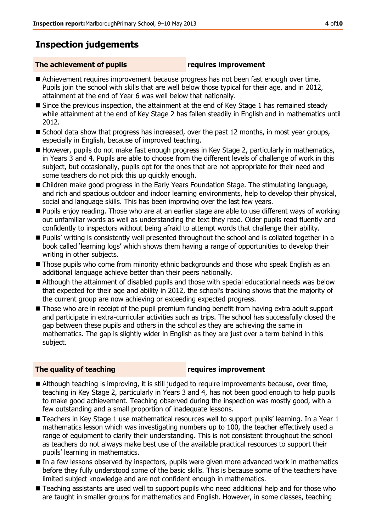# **Inspection judgements**

#### **The achievement of pupils requires improvement**

- Achievement requires improvement because progress has not been fast enough over time. Pupils join the school with skills that are well below those typical for their age, and in 2012, attainment at the end of Year 6 was well below that nationally.
- Since the previous inspection, the attainment at the end of Key Stage 1 has remained steady while attainment at the end of Key Stage 2 has fallen steadily in English and in mathematics until 2012.
- School data show that progress has increased, over the past 12 months, in most year groups, especially in English, because of improved teaching.
- However, pupils do not make fast enough progress in Key Stage 2, particularly in mathematics, in Years 3 and 4. Pupils are able to choose from the different levels of challenge of work in this subject, but occasionally, pupils opt for the ones that are not appropriate for their need and some teachers do not pick this up quickly enough.
- Children make good progress in the Early Years Foundation Stage. The stimulating language, and rich and spacious outdoor and indoor learning environments, help to develop their physical, social and language skills. This has been improving over the last few years.
- Pupils enjoy reading. Those who are at an earlier stage are able to use different ways of working out unfamiliar words as well as understanding the text they read. Older pupils read fluently and confidently to inspectors without being afraid to attempt words that challenge their ability.
- Pupils' writing is consistently well presented throughout the school and is collated together in a book called 'learning logs' which shows them having a range of opportunities to develop their writing in other subjects.
- Those pupils who come from minority ethnic backgrounds and those who speak English as an additional language achieve better than their peers nationally.
- Although the attainment of disabled pupils and those with special educational needs was below that expected for their age and ability in 2012, the school's tracking shows that the majority of the current group are now achieving or exceeding expected progress.
- Those who are in receipt of the pupil premium funding benefit from having extra adult support and participate in extra-curricular activities such as trips. The school has successfully closed the gap between these pupils and others in the school as they are achieving the same in mathematics. The gap is slightly wider in English as they are just over a term behind in this subject.

### **The quality of teaching requires improvement**

- Although teaching is improving, it is still judged to require improvements because, over time, teaching in Key Stage 2, particularly in Years 3 and 4, has not been good enough to help pupils to make good achievement. Teaching observed during the inspection was mostly good, with a few outstanding and a small proportion of inadequate lessons.
- Teachers in Key Stage 1 use mathematical resources well to support pupils' learning. In a Year 1 mathematics lesson which was investigating numbers up to 100, the teacher effectively used a range of equipment to clarify their understanding. This is not consistent throughout the school as teachers do not always make best use of the available practical resources to support their pupils' learning in mathematics.
- In a few lessons observed by inspectors, pupils were given more advanced work in mathematics before they fully understood some of the basic skills. This is because some of the teachers have limited subject knowledge and are not confident enough in mathematics.
- Teaching assistants are used well to support pupils who need additional help and for those who are taught in smaller groups for mathematics and English. However, in some classes, teaching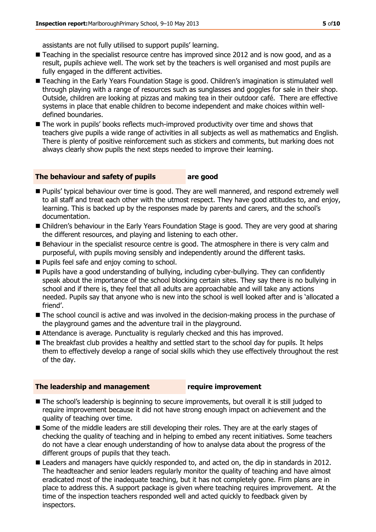assistants are not fully utilised to support pupils' learning.

- Teaching in the specialist resource centre has improved since 2012 and is now good, and as a result, pupils achieve well. The work set by the teachers is well organised and most pupils are fully engaged in the different activities.
- Teaching in the Early Years Foundation Stage is good. Children's imagination is stimulated well through playing with a range of resources such as sunglasses and goggles for sale in their shop. Outside, children are looking at pizzas and making tea in their outdoor café. There are effective systems in place that enable children to become independent and make choices within welldefined boundaries.
- The work in pupils' books reflects much-improved productivity over time and shows that teachers give pupils a wide range of activities in all subjects as well as mathematics and English. There is plenty of positive reinforcement such as stickers and comments, but marking does not always clearly show pupils the next steps needed to improve their learning.

#### **The behaviour and safety of pupils are good**

- **Pupils' typical behaviour over time is good. They are well mannered, and respond extremely well** to all staff and treat each other with the utmost respect. They have good attitudes to, and enjoy, learning. This is backed up by the responses made by parents and carers, and the school's documentation.
- Children's behaviour in the Early Years Foundation Stage is good. They are very good at sharing the different resources, and playing and listening to each other.
- Behaviour in the specialist resource centre is good. The atmosphere in there is very calm and purposeful, with pupils moving sensibly and independently around the different tasks.
- **Pupils feel safe and enjoy coming to school.**
- Pupils have a good understanding of bullying, including cyber-bullying. They can confidently speak about the importance of the school blocking certain sites. They say there is no bullying in school and if there is, they feel that all adults are approachable and will take any actions needed. Pupils say that anyone who is new into the school is well looked after and is 'allocated a friend'.
- $\blacksquare$  The school council is active and was involved in the decision-making process in the purchase of the playground games and the adventure trail in the playground.
- Attendance is average. Punctuality is regularly checked and this has improved.
- The breakfast club provides a healthy and settled start to the school day for pupils. It helps them to effectively develop a range of social skills which they use effectively throughout the rest of the day.

#### **The leadership and management require improvement**

- The school's leadership is beginning to secure improvements, but overall it is still judged to require improvement because it did not have strong enough impact on achievement and the quality of teaching over time.
- Some of the middle leaders are still developing their roles. They are at the early stages of checking the quality of teaching and in helping to embed any recent initiatives. Some teachers do not have a clear enough understanding of how to analyse data about the progress of the different groups of pupils that they teach.
- **Leaders and managers have quickly responded to, and acted on, the dip in standards in 2012.** The headteacher and senior leaders regularly monitor the quality of teaching and have almost eradicated most of the inadequate teaching, but it has not completely gone. Firm plans are in place to address this. A support package is given where teaching requires improvement. At the time of the inspection teachers responded well and acted quickly to feedback given by inspectors.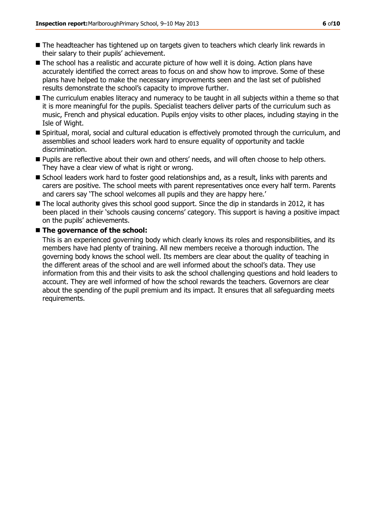- The headteacher has tightened up on targets given to teachers which clearly link rewards in their salary to their pupils' achievement.
- The school has a realistic and accurate picture of how well it is doing. Action plans have accurately identified the correct areas to focus on and show how to improve. Some of these plans have helped to make the necessary improvements seen and the last set of published results demonstrate the school's capacity to improve further.
- The curriculum enables literacy and numeracy to be taught in all subjects within a theme so that it is more meaningful for the pupils. Specialist teachers deliver parts of the curriculum such as music, French and physical education. Pupils enjoy visits to other places, including staying in the Isle of Wight.
- Spiritual, moral, social and cultural education is effectively promoted through the curriculum, and assemblies and school leaders work hard to ensure equality of opportunity and tackle discrimination.
- **Pupils are reflective about their own and others' needs, and will often choose to help others.** They have a clear view of what is right or wrong.
- School leaders work hard to foster good relationships and, as a result, links with parents and carers are positive. The school meets with parent representatives once every half term. Parents and carers say 'The school welcomes all pupils and they are happy here.'
- The local authority gives this school good support. Since the dip in standards in 2012, it has been placed in their 'schools causing concerns' category. This support is having a positive impact on the pupils' achievements.

#### ■ The governance of the school:

This is an experienced governing body which clearly knows its roles and responsibilities, and its members have had plenty of training. All new members receive a thorough induction. The governing body knows the school well. Its members are clear about the quality of teaching in the different areas of the school and are well informed about the school's data. They use information from this and their visits to ask the school challenging questions and hold leaders to account. They are well informed of how the school rewards the teachers. Governors are clear about the spending of the pupil premium and its impact. It ensures that all safeguarding meets requirements.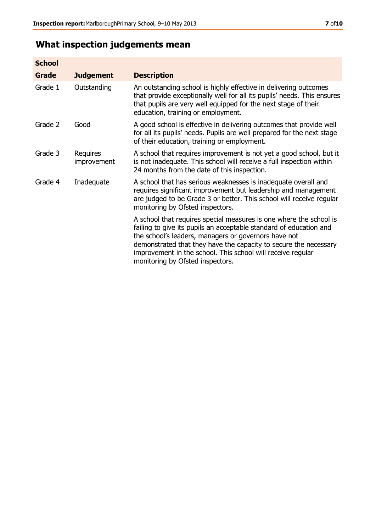# **What inspection judgements mean**

| <b>School</b> |                         |                                                                                                                                                                                                                                                                                                                                                                         |
|---------------|-------------------------|-------------------------------------------------------------------------------------------------------------------------------------------------------------------------------------------------------------------------------------------------------------------------------------------------------------------------------------------------------------------------|
| <b>Grade</b>  | <b>Judgement</b>        | <b>Description</b>                                                                                                                                                                                                                                                                                                                                                      |
| Grade 1       | Outstanding             | An outstanding school is highly effective in delivering outcomes<br>that provide exceptionally well for all its pupils' needs. This ensures<br>that pupils are very well equipped for the next stage of their<br>education, training or employment.                                                                                                                     |
| Grade 2       | Good                    | A good school is effective in delivering outcomes that provide well<br>for all its pupils' needs. Pupils are well prepared for the next stage<br>of their education, training or employment.                                                                                                                                                                            |
| Grade 3       | Requires<br>improvement | A school that requires improvement is not yet a good school, but it<br>is not inadequate. This school will receive a full inspection within<br>24 months from the date of this inspection.                                                                                                                                                                              |
| Grade 4       | Inadequate              | A school that has serious weaknesses is inadequate overall and<br>requires significant improvement but leadership and management<br>are judged to be Grade 3 or better. This school will receive regular<br>monitoring by Ofsted inspectors.                                                                                                                            |
|               |                         | A school that requires special measures is one where the school is<br>failing to give its pupils an acceptable standard of education and<br>the school's leaders, managers or governors have not<br>demonstrated that they have the capacity to secure the necessary<br>improvement in the school. This school will receive regular<br>monitoring by Ofsted inspectors. |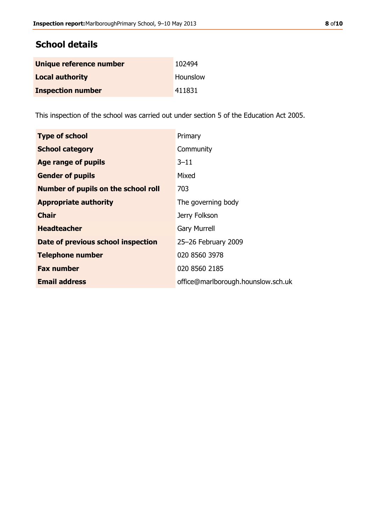| Unique reference number  | 102494   |
|--------------------------|----------|
| <b>Local authority</b>   | Hounslow |
| <b>Inspection number</b> | 411831   |

This inspection of the school was carried out under section 5 of the Education Act 2005.

| <b>Type of school</b>                      | Primary                            |
|--------------------------------------------|------------------------------------|
| <b>School category</b>                     | Community                          |
| Age range of pupils                        | 3–11                               |
| <b>Gender of pupils</b>                    | Mixed                              |
| <b>Number of pupils on the school roll</b> | 703                                |
| <b>Appropriate authority</b>               | The governing body                 |
| <b>Chair</b>                               | Jerry Folkson                      |
| <b>Headteacher</b>                         | <b>Gary Murrell</b>                |
| Date of previous school inspection         | 25-26 February 2009                |
| <b>Telephone number</b>                    | 020 8560 3978                      |
| <b>Fax number</b>                          | 020 8560 2185                      |
| <b>Email address</b>                       | office@marlborough.hounslow.sch.uk |